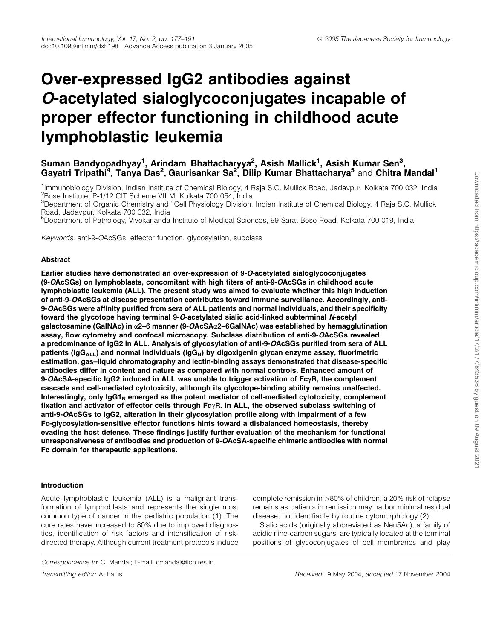# Over-expressed IgG2 antibodies against O-acetylated sialoglycoconjugates incapable of proper effector functioning in childhood acute lymphoblastic leukemia

# Suman Bandyopadhyay<sup>1</sup>, Arindam Bhattacharyya<sup>2</sup>, Asish Mallick<sup>1</sup>, Asish Kumar Sen<sup>3</sup>, Gayatri Tripathi<sup>4</sup>, Tanya Das<sup>2</sup>, Gaurisankar Sa<sup>2</sup>, Dilip Kumar Bhattacharya<sup>5</sup> and Chitra Mandal<sup>1</sup>

<sup>1</sup>Immunobiology Division, Indian Institute of Chemical Biology, 4 Raja S.C. Mullick Road, Jadavpur, Kolkata 700 032, India <sup>2</sup>Bose Institute, P-1/12 CIT Scheme VII M, Kolkata 700 054, India

 $3$ Department of Organic Chemistry and  $4$ Cell Physiology Division, Indian Institute of Chemical Biology, 4 Raja S.C. Mullick Road, Jadavpur, Kolkata 700 032, India

<sup>5</sup>Department of Pathology, Vivekananda Institute of Medical Sciences, 99 Sarat Bose Road, Kolkata 700 019, India

Keywords: anti-9-OAcSGs, effector function, glycosylation, subclass

### Abstract

Earlier studies have demonstrated an over-expression of 9-O-acetylated sialoglycoconjugates (9-OAcSGs) on lymphoblasts, concomitant with high titers of anti-9-OAcSGs in childhood acute lymphoblastic leukemia (ALL). The present study was aimed to evaluate whether this high induction of anti-9-OAcSGs at disease presentation contributes toward immune surveillance. Accordingly, anti-9-OAcSGs were affinity purified from sera of ALL patients and normal individuals, and their specificity toward the glycotope having terminal 9-O-acetylated sialic acid-linked subterminal N-acetyl galactosamine (GalNAc) in a2–6 manner (9-OAcSAa2–6GalNAc) was established by hemagglutination assay, flow cytometry and confocal microscopy. Subclass distribution of anti-9-OAcSGs revealed a predominance of IgG2 in ALL. Analysis of glycosylation of anti-9-OAcSGs purified from sera of ALL patients ( $\log_{A_{LL}}$ ) and normal individuals ( $\log_{N}$ ) by digoxigenin glycan enzyme assay, fluorimetric estimation, gas–liquid chromatography and lectin-binding assays demonstrated that disease-specific antibodies differ in content and nature as compared with normal controls. Enhanced amount of 9-OAcSA-specific IgG2 induced in ALL was unable to trigger activation of  $Fc<sub>Y</sub>R$ , the complement cascade and cell-mediated cytotoxicity, although its glycotope-binding ability remains unaffected. Interestingly, only  $\log_{1<sub>N</sub>}$  emerged as the potent mediator of cell-mediated cytotoxicity, complement fixation and activator of effector cells through  $Fc\gamma R$ . In ALL, the observed subclass switching of anti-9-OAcSGs to IgG2, alteration in their glycosylation profile along with impairment of a few Fc-glycosylation-sensitive effector functions hints toward a disbalanced homeostasis, thereby evading the host defense. These findings justify further evaluation of the mechanism for functional unresponsiveness of antibodies and production of 9-OAcSA-specific chimeric antibodies with normal Fc domain for therapeutic applications.

#### Introduction

Acute lymphoblastic leukemia (ALL) is a malignant transformation of lymphoblasts and represents the single most common type of cancer in the pediatric population (1). The cure rates have increased to 80% due to improved diagnostics, identification of risk factors and intensification of riskdirected therapy. Although current treatment protocols induce

Correspondence to: C. Mandal; E-mail: cmandal@iicb.res.in

complete remission in >80% of children, a 20% risk of relapse remains as patients in remission may harbor minimal residual disease, not identifiable by routine cytomorphology (2).

Sialic acids (originally abbreviated as Neu5Ac), a family of acidic nine-carbon sugars, are typically located at the terminal positions of glycoconjugates of cell membranes and play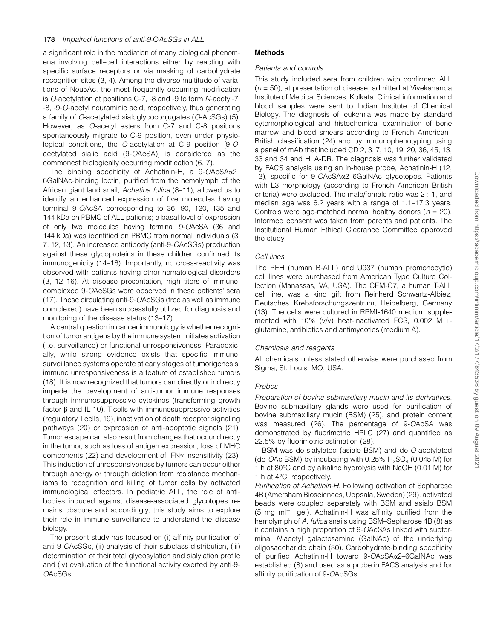a significant role in the mediation of many biological phenomena involving cell–cell interactions either by reacting with specific surface receptors or via masking of carbohydrate recognition sites (3, 4). Among the diverse multitude of variations of Neu5Ac, the most frequently occurring modification is O-acetylation at positions C-7, -8 and -9 to form N-acetyl-7, -8, -9-O-acetyl neuraminic acid, respectively, thus generating a family of O-acetylated sialoglycoconjugates (O-AcSGs) (5). However, as O-acetyl esters from C-7 and C-8 positions spontaneously migrate to C-9 position, even under physiological conditions, the  $O$ -acetylation at C-9 position  $[9-O$ acetylated sialic acid (9-OAcSA) is considered as the commonest biologically occurring modification (6, 7).

The binding specificity of Achatinin-H, a 9-OAcSAa2– 6GalNAc-binding lectin, purified from the hemolymph of the African giant land snail, Achatina fulica (8–11), allowed us to identify an enhanced expression of five molecules having terminal 9-OAcSA corresponding to 36, 90, 120, 135 and 144 kDa on PBMC of ALL patients; a basal level of expression of only two molecules having terminal 9-OAcSA (36 and 144 kDa) was identified on PBMC from normal individuals (3, 7, 12, 13). An increased antibody (anti-9-OAcSGs) production against these glycoproteins in these children confirmed its immunogenicity (14–16). Importantly, no cross-reactivity was observed with patients having other hematological disorders (3, 12–16). At disease presentation, high titers of immunecomplexed 9-OAcSGs were observed in these patients' sera (17). These circulating anti-9-OAcSGs (free as well as immune complexed) have been successfully utilized for diagnosis and monitoring of the disease status (13–17).

A central question in cancer immunology is whether recognition of tumor antigens by the immune system initiates activation (i.e. surveillance) or functional unresponsiveness. Paradoxically, while strong evidence exists that specific immunesurveillance systems operate at early stages of tumorigenesis, immune unresponsiveness is a feature of established tumors (18). It is now recognized that tumors can directly or indirectly impede the development of anti-tumor immune responses through immunosuppressive cytokines (transforming growth factor- $\beta$  and IL-10), T cells with immunosuppressive activities (regulatory T cells, 19), inactivation of death receptor signaling pathways (20) or expression of anti-apoptotic signals (21). Tumor escape can also result from changes that occur directly in the tumor, such as loss of antigen expression, loss of MHC components (22) and development of  $IFN<sub>Y</sub>$  insensitivity (23). This induction of unresponsiveness by tumors can occur either through anergy or through deletion from resistance mechanisms to recognition and killing of tumor cells by activated immunological effectors. In pediatric ALL, the role of antibodies induced against disease-associated glycotopes remains obscure and accordingly, this study aims to explore their role in immune surveillance to understand the disease biology.

The present study has focused on (i) affinity purification of anti-9-OAcSGs, (ii) analysis of their subclass distribution, (iii) determination of their total glycosylation and sialylation profile and (iv) evaluation of the functional activity exerted by anti-9- OAcSGs.

# Methods

# Patients and controls

This study included sera from children with confirmed ALL  $(n = 50)$ , at presentation of disease, admitted at Vivekananda Institute of Medical Sciences, Kolkata. Clinical information and blood samples were sent to Indian Institute of Chemical Biology. The diagnosis of leukemia was made by standard cytomorphological and histochemical examination of bone marrow and blood smears according to French–American– British classification (24) and by immunophenotyping using a panel of mAb that included CD 2, 3, 7, 10, 19, 20, 36, 45, 13, 33 and 34 and HLA-DR. The diagnosis was further validated by FACS analysis using an in-house probe, Achatinin-H (12, 13), specific for 9-OAcSAa2–6GalNAc glycotopes. Patients with L3 morphology (according to French–American–British criteria) were excluded. The male/female ratio was 2 : 1, and median age was 6.2 years with a range of 1.1–17.3 years. Controls were age-matched normal healthy donors ( $n = 20$ ). Informed consent was taken from parents and patients. The Institutional Human Ethical Clearance Committee approved the study.

# Cell lines

The REH (human B-ALL) and U937 (human promonocytic) cell lines were purchased from American Type Culture Collection (Manassas, VA, USA). The CEM-C7, a human T-ALL cell line, was a kind gift from Reinherd Schwartz-Albiez, Deutsches Krebsforschungszentrum, Heidelberg, Germany (13). The cells were cultured in RPMI-1640 medium supplemented with 10% (v/v) heat-inactivated FCS, 0.002 M Lglutamine, antibiotics and antimycotics (medium A).

# Chemicals and reagents

All chemicals unless stated otherwise were purchased from Sigma, St. Louis, MO, USA.

# Probes

Preparation of bovine submaxillary mucin and its derivatives. Bovine submaxillary glands were used for purification of bovine submaxillary mucin (BSM) (25), and protein content was measured (26). The percentage of 9-OAcSA was demonstrated by fluorimetric HPLC (27) and quantified as 22.5% by fluorimetric estimation (28).

BSM was de-sialylated (asialo BSM) and de-O-acetylated (de-OAc BSM) by incubating with 0.25%  $H_2SO_4$  (0.045 M) for 1 h at 80°C and by alkaline hydrolysis with NaOH (0.01 M) for 1 h at  $4^{\circ}$ C, respectively.

Purification of Achatinin-H. Following activation of Sepharose 4B (Amersham Biosciences, Uppsala, Sweden) (29), activated beads were coupled separately with BSM and asialo BSM (5 mg m $I^{-1}$  gel). Achatinin-H was affinity purified from the hemolymph of A. fulica snails using BSM-Sepharose 4B (8) as it contains a high proportion of 9-OAcSAs linked with subterminal N-acetyl galactosamine (GalNAc) of the underlying oligosaccharide chain (30). Carbohydrate-binding specificity of purified Achatinin-H toward 9-OAcSAa2–6GalNAc was established (8) and used as a probe in FACS analysis and for affinity purification of 9-OAcSGs.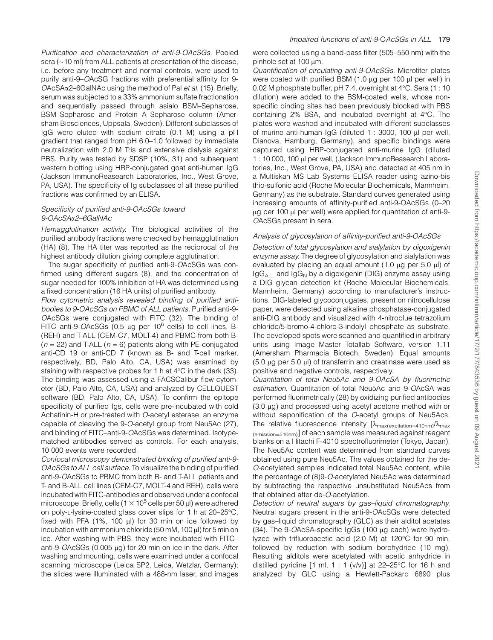Purification and characterization of anti-9-OAcSGs. Pooled sera (~10 ml) from ALL patients at presentation of the disease, i.e. before any treatment and normal controls, were used to purify anti-9–OAcSG fractions with preferential affinity for 9-  $OACSA\alpha$ 2–6GalNAc using the method of Pal et al. (15). Briefly, serum was subjected to a 33% ammonium sulfate fractionation and sequentially passed through asialo BSM–Sepharose, BSM–Sepharose and Protein A–Sepharose column (Amersham Biosciences, Uppsala, Sweden). Different subclasses of IgG were eluted with sodium citrate (0.1 M) using a pH gradient that ranged from pH 6.0–1.0 followed by immediate neutralization with 2.0 M Tris and extensive dialysis against PBS. Purity was tested by SDSP (10%, 31) and subsequent western blotting using HRP-conjugated goat anti-human IgG (Jackson ImmunoReasearch Laboratories, Inc., West Grove, PA, USA). The specificity of Ig subclasses of all these purified fractions was confirmed by an ELISA.

#### Specificity of purified anti-9-OAcSGs toward 9-OAcSAa2–6GalNAc

Hemagglutination activity. The biological activities of the purified antibody fractions were checked by hemagglutination (HA) (8). The HA titer was reported as the reciprocal of the highest antibody dilution giving complete agglutination.

The sugar specificity of purified anti-9-OAcSGs was confirmed using different sugars (8), and the concentration of sugar needed for 100% inhibition of HA was determined using a fixed concentration (16 HA units) of purified antibody.

Flow cytometric analysis revealed binding of purified antibodies to 9-OAcSGs on PBMC of ALL patients. Purified anti-9- OAcSGs were conjugated with FITC (32). The binding of FITC-anti-9-OAcSGs (0.5  $\mu$ g per 10<sup>6</sup> cells) to cell lines, B-(REH) and T-ALL (CEM-C7, MOLT-4) and PBMC from both B-  $(n = 22)$  and T-ALL  $(n = 6)$  patients along with PE-conjugated anti-CD 19 or anti-CD 7 (known as B- and T-cell marker, respectively, BD, Palo Alto, CA, USA) was examined by staining with respective probes for 1 h at  $4^{\circ}$ C in the dark (33). The binding was assessed using a FACSCalibur flow cytometer (BD, Palo Alto, CA, USA) and analyzed by CELLQUEST software (BD, Palo Alto, CA, USA). To confirm the epitope specificity of purified Igs, cells were pre-incubated with cold Achatinin-H or pre-treated with O-acetyl esterase, an enzyme capable of cleaving the 9-O-acetyl group from Neu5Ac (27), and binding of FITC–anti-9-OAcSGs was determined. Isotypematched antibodies served as controls. For each analysis, 10 000 events were recorded.

Confocal microscopy demonstrated binding of purified anti-9- OAcSGs to ALL cell surface. To visualize the binding of purified anti-9-OAcSGs to PBMC from both B- and T-ALL patients and T- and B-ALL cell lines (CEM-C7, MOLT-4 and REH), cells were incubated with FITC-antibodies and observed under a confocal microscope. Briefly, cells (1  $\times$  10<sup>5</sup> cells per 50  $\mu$ l) were adhered on poly-L-lysine-coated glass cover slips for 1 h at 20-25°C, fixed with PFA  $(1\% , 100 \mu l)$  for 30 min on ice followed by incubation with ammonium chloride (50 mM, 100  $\mu$ l) for 5 min on ice. After washing with PBS, they were incubated with FITC– anti-9- $OACSGs$  (0.005  $\mu$ g) for 20 min on ice in the dark. After washing and mounting, cells were examined under a confocal scanning microscope (Leica SP2, Leica, Wetzlar, Germany); the slides were illuminated with a 488-nm laser, and images were collected using a band-pass filter (505–550 nm) with the pinhole set at 100 um.

Quantification of circulating anti-9-OAcSGs. Microtiter plates were coated with purified BSM  $(1.0 \mu g$  per 100  $\mu$ l per well) in 0.02 M phosphate buffer, pH 7.4, overnight at 4°C. Sera (1 : 10 dilution) were added to the BSM-coated wells, whose nonspecific binding sites had been previously blocked with PBS containing  $2\%$  BSA, and incubated overnight at  $4^{\circ}$ C. The plates were washed and incubated with different subclasses of murine anti-human  $I \text{gG}$  (diluted 1 : 3000, 100  $\mu$ l per well, Dianova, Hamburg, Germany), and specific bindings were captured using HRP-conjugated anti-murine IgG (diluted 1 : 10 000, 100 µl per well, (Jackson ImmunoReasearch Laboratories, Inc., West Grove, PA, USA) and detected at 405 nm in a Multiskan MS Lab Systems ELISA reader using azino-bis thio-sulfonic acid (Roche Molecular Biochemicals, Mannheim, Germany) as the substrate. Standard curves generated using increasing amounts of affinity-purified anti-9-OAcSGs (0–20 µg per 100 µl per well) were applied for quantitation of anti-9-OAcSGs present in sera.

## Analysis of glycosylation of affinity-purified anti-9-OAcSGs

Detection of total glycosylation and sialylation by digoxigenin enzyme assay. The degree of glycosylation and sialylation was evaluated by placing an equal amount  $(1.0 \mu g$  per 5.0  $\mu$ l) of  $I<sub>g</sub>G<sub>AII</sub>$  and  $I<sub>g</sub>G<sub>N</sub>$  by a digoxigenin (DIG) enzyme assay using a DIG glycan detection kit (Roche Molecular Biochemicals, Mannheim, Germany) according to manufacturer's instructions. DIG-labeled glycoconjugates, present on nitrocellulose paper, were detected using alkaline phosphatase-conjugated anti-DIG antibody and visualized with 4-nitroblue tetrazolium chloride/5-bromo-4-chloro-3-indolyl phosphate as substrate. The developed spots were scanned and quantified in arbitrary units using Image Master Totallab Software, version 1.11 (Amersham Pharmacia Biotech, Sweden). Equal amounts  $(5.0 \mu g$  per 5.0  $\mu$ ) of transferrin and creatinase were used as positive and negative controls, respectively.

Quantitation of total Neu5Ac and 9-OAcSA by fluorimetric estimation. Quantitation of total Neu5Ac and 9-OAcSA was performed fluorimetrically (28) by oxidizing purified antibodies  $(3.0 \mu g)$  and processed using acetyl acetone method with or without saponification of the O-acetyl groups of Neu5Acs. The relative fluorescence intensity  $[\lambda_{\text{max(excitation=410nm)}}/\lambda_{\text{max}}$ (emission=510nm)] of each sample was measured against reagent blanks on a Hitachi F-4010 spectrofluorimeter (Tokyo, Japan). The Neu5Ac content was determined from standard curves obtained using pure Neu5Ac. The values obtained for the de-O-acetylated samples indicated total Neu5Ac content, while the percentage of (8)9-O-acetylated Neu5Ac was determined by subtracting the respective unsubstituted Neu5Acs from that obtained after de-O-acetylation.

Detection of neutral sugars by gas–liquid chromatography. Neutral sugars present in the anti-9-OAcSGs were detected by gas–liquid chromatography (GLC) as their alditol acetates  $(34)$ . The 9-OAcSA-specific IgGs  $(100 \mu g$  each) were hydrolyzed with trifluoroacetic acid (2.0 M) at 120°C for 90 min, followed by reduction with sodium borohydride (10 mg). Resulting alditols were acetylated with acetic anhydride in distilled pyridine [1 ml, 1 : 1 (v/v)] at 22-25°C for 16 h and analyzed by GLC using a Hewlett-Packard 6890 plus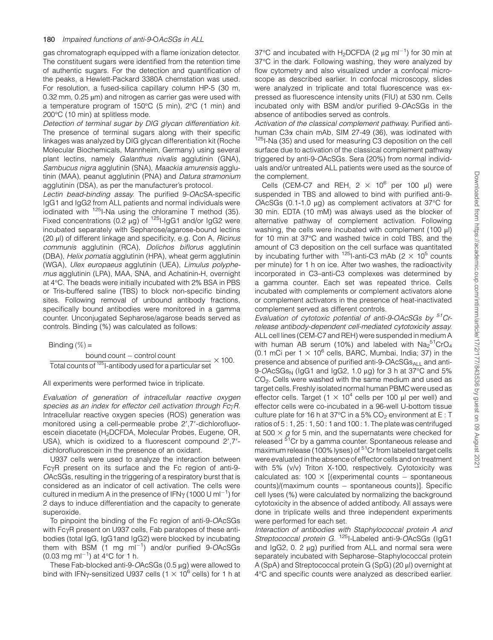gas chromatograph equipped with a flame ionization detector. The constituent sugars were identified from the retention time of authentic sugars. For the detection and quantification of the peaks, a Hewlett-Packard 3380A chemstation was used. For resolution, a fused-silica capillary column HP-5 (30 m,  $0.32$  mm,  $0.25$   $\mu$ m) and nitrogen as carrier gas were used with a temperature program of  $150^{\circ}$ C (5 min),  $2^{\circ}$ C (1 min) and 200°C (10 min) at splitless mode.

Detection of terminal sugar by DIG glycan differentiation kit. The presence of terminal sugars along with their specific linkages was analyzed by DIG glycan differentiation kit (Roche Molecular Biochemicals, Mannheim, Germany) using several plant lectins, namely Galanthus nivalis agglutinin (GNA), Sambucus nigra agglutinin (SNA), Maackia amurensis agglutinin (MAA), peanut agglutinin (PNA) and Datura stramonium agglutinin (DSA), as per the manufacturer's protocol.

Lectin bead-binding assay. The purified 9-OAcSA-specific IgG1 and IgG2 from ALL patients and normal individuals were iodinated with  $125$ I-Na using the chloramine T method (35). Fixed concentrations (0.2  $\mu$ g) of <sup>125</sup>I-IgG1 and/or IgG2 were incubated separately with Sepharose/agarose-bound lectins  $(20 \mu l)$  of different linkage and specificity, e.g. Con A, Ricinus communis agglutinin (RCA), Dolichos biflorus agglutinin (DBA), Helix pomatia agglutinin (HPA), wheat germ agglutinin (WGA), Ulex europaeus agglutinin (UEA), Limulus polyphemus agglutinin (LPA), MAA, SNA, and Achatinin-H, overnight at 4°C. The beads were initially incubated with 2% BSA in PBS or Tris-buffered saline (TBS) to block non-specific binding sites. Following removal of unbound antibody fractions, specifically bound antibodies were monitored in a gamma counter. Unconjugated Sepharose/agarose beads served as controls. Binding (%) was calculated as follows:

Binding  $(\%) =$ 

bound count – control count Total counts of  $125$ -antibody used for a particular set  $\times$  100.

All experiments were performed twice in triplicate.

Evaluation of generation of intracellular reactive oxygen species as an index for effector cell activation through  $Fc<sub>Y</sub>R$ . Intracellular reactive oxygen species (ROS) generation was monitored using a cell-permeable probe 2'.7'-dichlorofluorescein diacetate (H<sub>2</sub>DCFDA, Molecular Probes, Eugene, OR, USA), which is oxidized to a fluorescent compound 2',7'dichlorofluorescein in the presence of an oxidant.

U937 cells were used to analyze the interaction between FcyR present on its surface and the Fc region of anti-9-OAcSGs, resulting in the triggering of a respiratory burst that is considered as an indicator of cell activation. The cells were cultured in medium A in the presence of IFN $\gamma$  (1000 U ml<sup>-1</sup>) for 2 days to induce differentiation and the capacity to generate superoxide.

To pinpoint the binding of the Fc region of anti-9-OAcSGs with FcyR present on U937 cells, Fab paratopes of these antibodies (total IgG, IgG1and IgG2) were blocked by incubating them with BSM  $(1 \text{ mg } \text{ml}^{-1})$  and/or purified 9-OAcSGs  $(0.03 \text{ mg ml}^{-1})$  at 4°C for 1 h.

These Fab-blocked anti-9-OAcSGs (0.5 ug) were allowed to bind with IFN<sub>Y</sub>-sensitized U937 cells  $(1 \times 10^6$  cells) for 1 h at

37°C and incubated with  $H_2$ DCFDA (2  $\mu$ g ml<sup>-1</sup>) for 30 min at 37°C in the dark. Following washing, they were analyzed by flow cytometry and also visualized under a confocal microscope as described earlier. In confocal microscopy, slides were analyzed in triplicate and total fluorescence was expressed as fluorescence intensity units (FIU) at 530 nm. Cells incubated only with BSM and/or purified 9-OAcSGs in the absence of antibodies served as controls.

Activation of the classical complement pathway. Purified antihuman  $C3\alpha$  chain mAb, SIM 27-49 (36), was iodinated with <sup>125</sup>I-Na (35) and used for measuring C3 deposition on the cell surface due to activation of the classical complement pathway triggered by anti-9-OAcSGs. Sera (20%) from normal individuals and/or untreated ALL patients were used as the source of the complement.

Cells (CEM-C7 and REH,  $2 \times 10^6$  per 100 µl) were suspended in TBS and allowed to bind with purified anti-9- OAcSGs (0.1-1.0  $\mu$ g) as complement activators at 37 $\degree$ C for 30 min. EDTA (10 mM) was always used as the blocker of alternative pathway of complement activation. Following washing, the cells were incubated with complement  $(100 \mu l)$ for 10 min at 37°C and washed twice in cold TBS, and the amount of C3 deposition on the cell surface was quantitated by incubating further with  $125$ -anti-C3 mAb (2  $\times$  10<sup>5</sup> counts per minute) for 1 h on ice. After two washes, the radioactivity incorporated in C3–anti-C3 complexes was determined by a gamma counter. Each set was repeated thrice. Cells incubated with complements or complement activators alone or complement activators in the presence of heat-inactivated complement served as different controls.

Evaluation of cytotoxic potential of anti-9-OAcSGs by <sup>51</sup>Crrelease antibody-dependent cell-mediated cytotoxicity assay. ALL cell lines (CEM-C7 and REH) were suspended in medium A with human AB serum (10%) and labeled with  $\text{Na}_2{}^{51}\text{CrO}_4$ (0.1 mCi per  $1 \times 10^6$  cells, BARC, Mumbai, India; 37) in the presence and absence of purified anti-9-OAcSGs<sub>ALL</sub> and anti-9-OAcSGs<sub>N</sub> ( $log 1$  and  $log 2$ , 1.0  $µq$ ) for 3 h at 37 $°C$  and 5% CO2. Cells were washed with the same medium and used as target cells. Freshly isolated normal human PBMC were used as effector cells. Target (1  $\times$  10<sup>4</sup> cells per 100 µl per well) and effector cells were co-incubated in a 96-well U-bottom tissue culture plate for 16 h at 37 $\degree$ C in a 5% CO<sub>2</sub> environment at E : T ratios of 5 : 1, 25 : 1, 50 : 1 and 100 : 1. The plate was centrifuged at 500  $\times$  g for 5 min, and the supernatants were checked for released <sup>51</sup>Cr by a gamma counter. Spontaneous release and maximum release (100% lyses) of <sup>51</sup>Cr from labeled target cells were evaluated in the absence of effector cells and on treatment with 5% (v/v) Triton X-100, respectively. Cytotoxicity was calculated as:  $100 \times$  [(experimental counts - spontaneous counts)/(maximum counts - spontaneous counts)]. Specific cell lyses (%) were calculated by normalizing the background cytotoxicity in the absence of added antibody. All assays were done in triplicate wells and three independent experiments were performed for each set.

Interaction of antibodies with Staphylococcal protein A and Streptococcal protein G. <sup>125</sup>I-Labeled anti-9-OAcSGs (IgG1 and  $IqG2$ , 0. 2  $\mu$ g) purified from ALL and normal sera were separately incubated with Sepharose–Staphylococcal protein A (SpA) and Streptococcal protein G (SpG) (20 ul) overnight at 4C and specific counts were analyzed as described earlier.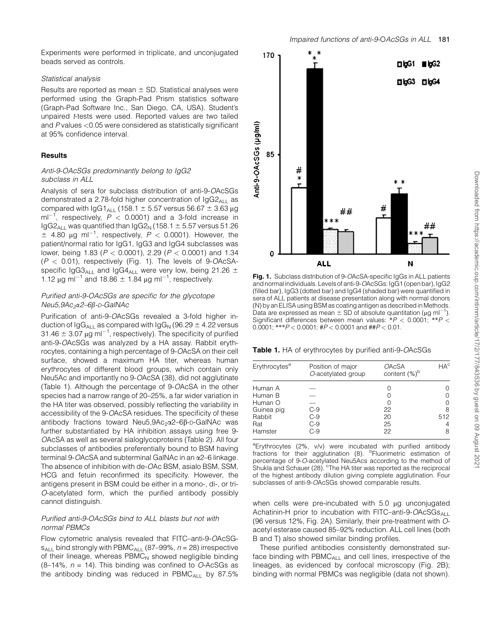Experiments were performed in triplicate, and unconjugated beads served as controls.

#### Statistical analysis

Results are reported as mean  $\pm$  SD. Statistical analyses were performed using the Graph-Pad Prism statistics software (Graph-Pad Software Inc., San Diego, CA, USA). Student's unpaired t-tests were used. Reported values are two tailed and P values <0.05 were considered as statistically significant at 95% confidence interval.

#### **Results**

## Anti-9-OAcSGs predominantly belong to IgG2 subclass in ALL

Analysis of sera for subclass distribution of anti-9-OAcSGs demonstrated a 2.78-fold higher concentration of  $IgG2_{ALL}$  as compared with IgG1<sub>ALL</sub> (158.1  $\pm$  5.57 versus 56.67  $\pm$  3.63 µg ml<sup>-1</sup>, respectively,  $P$  < 0.0001) and a 3-fold increase in  $I<sub>g</sub>G2<sub>ALI</sub>$  was quantified than  $I<sub>g</sub>G2<sub>N</sub>$  (158.1  $\pm$  5.57 versus 51.26  $\pm$  4.80 µg ml<sup>-1</sup>, respectively, P < 0.0001). However, the patient/normal ratio for IgG1, IgG3 and IgG4 subclasses was lower, being 1.83 ( $P < 0.0001$ ), 2.29 ( $P < 0.0001$ ) and 1.34  $(P < 0.01)$ , respectively (Fig. 1). The levels of 9-OAcSAspecific IgG3<sub>ALL</sub> and IgG4<sub>ALL</sub> were very low, being 21.26  $\pm$ 1.12 μg ml<sup>-1</sup> and 18.86  $\pm$  1.84 μg ml<sup>-1</sup>, respectively.

## Purified anti-9-OAcSGs are specific for the glycotope Neu5,9Ac<sub>2</sub>x2–6β-p-GalNAc

Purification of anti-9-OAcSGs revealed a 3-fold higher induction of  $\log G_{\text{Al}}$  as compared with  $\log G_{\text{N}}$  (96.29  $\pm$  4.22 versus 31.46  $\pm$  3.07 µg ml<sup>-1</sup>, respectively). The specificity of purified anti-9-OAcSGs was analyzed by a HA assay. Rabbit erythrocytes, containing a high percentage of 9-OAcSA on their cell surface, showed a maximum HA titer, whereas human erythrocytes of different blood groups, which contain only Neu5Ac and importantly no 9-OAcSA (38), did not agglutinate (Table 1). Although the percentage of 9-OAcSA in the other species had a narrow range of 20–25%, a far wider variation in the HA titer was observed, possibly reflecting the variability in accessibility of the 9-OAcSA residues. The specificity of these antibody fractions toward Neu5,9Ac<sub>2</sub> $\alpha$ 2–6 $\beta$ -D-GalNAc was further substantiated by HA inhibition assays using free 9- OAcSA as well as several sialoglycoproteins (Table 2). All four subclasses of antibodies preferentially bound to BSM having terminal 9-OAcSA and subterminal GalNAc in an a2–6 linkage. The absence of inhibition with de-OAc BSM, asialo BSM, SSM, HCG and fetuin reconfirmed its specificity. However, the antigens present in BSM could be either in a mono-, di-, or tri-O-acetylated form, which the purified antibody possibly cannot distinguish.

### Purified anti-9-OAcSGs bind to ALL blasts but not with normal PBMCs

Flow cytometric analysis revealed that FITC–anti-9-OAcSG $s_{A\perp}$  bind strongly with PBMC<sub>ALL</sub> (87–99%,  $n = 28$ ) irrespective of their lineage, whereas  $PBMC<sub>N</sub>$  showed negligible binding  $(8-14\%$ ,  $n = 14)$ . This binding was confined to O-AcSGs as the antibody binding was reduced in  $PBMC<sub>All</sub>$  by 87.5%



Fig. 1. Subclass distribution of 9-OAcSA-specific IgGs in ALL patients and normal individuals. Levels of anti-9-OAcSGs: IgG1 (open bar), IgG2 (filled bar), IgG3 (dotted bar) and IgG4 (shaded bar) were quantified in sera of ALL patients at disease presentation along with normal donors (N) by an ELISA using BSM as coating antigen as described in Methods. Data are expressed as mean  $\pm$  SD of absolute quantitation ( $\mu$ g ml<sup>-1</sup>). Significant differences between mean values:  $*P < 0.0001$ ;  $*P < 0$ 0.0001; \*\*\* $P < 0.0001$ ; # $P < 0.0001$  and ## $P < 0.01$ .

Table 1. HA of erythrocytes by purified anti-9-OAcSGs

| Erythrocytes <sup>a</sup>                                    | Position of major<br>O-acetylated group | <b>OAcSA</b><br>content (%) <sup>b</sup> | $HA^c$                                      |
|--------------------------------------------------------------|-----------------------------------------|------------------------------------------|---------------------------------------------|
| Human A<br>Human B<br>Human O<br>Guinea pig<br>Rabbit<br>Rat | C-9<br>$C-9$<br>C-9                     | 22<br>20<br>25                           | $\left( \right)$<br>Ω<br>Ω<br>8<br>512<br>4 |
| Hamster                                                      | C-9                                     | 22                                       | 8                                           |

<sup>a</sup>Erythrocytes (2%, v/v) were incubated with purified antibody fractions for their agglutination (8). <sup>b</sup>Fluorimetric estimation of percentage of 9-O-acetylated Neu5Acs according to the method of Shukla and Schauer (28). <sup>c</sup>The HA titer was reported as the reciprocal of the highest antibody dilution giving complete agglutination. Four subclasses of anti-9-OAcSGs showed comparable results.

when cells were pre-incubated with  $5.0 \mu g$  unconjugated Achatinin-H prior to incubation with FITC–anti-9-OAcSGs<sub>ALL</sub> (96 versus 12%, Fig. 2A). Similarly, their pre-treatment with Oacetyl esterase caused 85–92% reduction. ALL cell lines (both B and T) also showed similar binding profiles.

These purified antibodies consistently demonstrated surface binding with  $PBMC_{A\perp}$  and cell lines, irrespective of the lineages, as evidenced by confocal microscopy (Fig. 2B); binding with normal PBMCs was negligible (data not shown).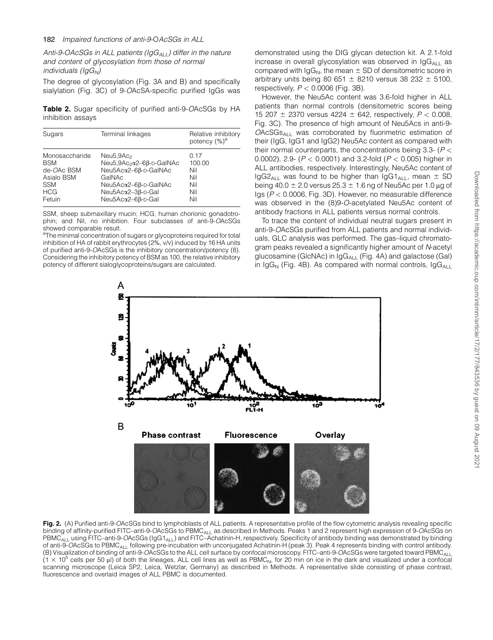#### 182 Impaired functions of anti-9-OAcSGs in ALL

Anti-9-OAcSGs in ALL patients ( $\log G_{ALL}$ ) differ in the nature and content of glycosylation from those of normal  $individuals$  ( $lqG_N$ )

The degree of glycosylation (Fig. 3A and B) and specifically sialylation (Fig. 3C) of 9-OAcSA-specific purified IgGs was

Table 2. Sugar specificity of purified anti-9-OAcSGs by HA inhibition assays

| Sugars                                                                                         | Terminal linkages                                                                                                                                                 | Relative inhibitory<br>potency $(%)^a$            |
|------------------------------------------------------------------------------------------------|-------------------------------------------------------------------------------------------------------------------------------------------------------------------|---------------------------------------------------|
| Monosaccharide<br><b>BSM</b><br>de-OAc BSM<br>Asialo BSM<br><b>SSM</b><br><b>HCG</b><br>Fetuin | Neu5,9Ac <sub>2</sub><br>Neu5,9Ac <sub>2</sub> α2-6β-D-GalNAc<br>Neu5Acα2-6β-D-GalNAc<br>GalNAc<br>Neu5Acα2-6β-D-GalNAc<br>Neu5Acα2-3β-D-Gal<br>Neu5Acα2-6β-D-Gal | 0.17<br>100.00<br>Nil<br>Nil<br>Nil<br>Nil<br>Nil |

SSM, sheep submaxillary mucin; HCG, human chorionic gonadotrophin; and Nil, no inhibition. Four subclasses of anti-9-OAcSGs showed comparable result.

<sup>a</sup>The minimal concentration of sugars or glycoproteins required for total inhibition of HA of rabbit erythrocytes (2%, v/v) induced by 16 HA units of purified anti-9-OAcSGs is the inhibitory concentration/potency (8). Considering the inhibitory potency of BSM as 100, the relative inhibitory potency of different sialoglycoproteins/sugars are calculated.

demonstrated using the DIG glycan detection kit. A 2.1-fold increase in overall glycosylation was observed in  $\log_{\text{A}}$  as compared with  $\lg G_N$ , the mean  $\pm$  SD of densitometric score in arbitrary units being 80 651  $\pm$  8210 versus 38 232  $\pm$  5100, respectively,  $P < 0.0006$  (Fig. 3B).

However, the Neu5Ac content was 3.6-fold higher in ALL patients than normal controls (densitometric scores being 15 207  $\pm$  2370 versus 4224  $\pm$  642, respectively,  $P < 0.008$ , Fig. 3C). The presence of high amount of Neu5Acs in anti-9-  $OACSGs<sub>Al</sub>$  was corroborated by fluorimetric estimation of their (IgG, IgG1 and IgG2) Neu5Ac content as compared with their normal counterparts, the concentrations being  $3.3 - (P <$ 0.0002), 2.9- ( $P < 0.0001$ ) and 3.2-fold ( $P < 0.005$ ) higher in ALL antibodies, respectively. Interestingly, Neu5Ac content of  $I<sub>g</sub>G2<sub>ALI</sub>$  was found to be higher than  $I<sub>g</sub>G1<sub>ALI</sub>$ , mean  $\pm$  SD being 40.0  $\pm$  2.0 versus 25.3  $\pm$  1.6 ng of Neu5Ac per 1.0 µg of Igs ( $P < 0.0006$ , Fig. 3D). However, no measurable difference was observed in the (8)9-O-acetylated Neu5Ac content of antibody fractions in ALL patients versus normal controls.

To trace the content of individual neutral sugars present in anti-9-OAcSGs purified from ALL patients and normal individuals, GLC analysis was performed. The gas–liquid chromatogram peaks revealed a significantly higher amount of N-acetyl glucosamine (GlcNAc) in IgGALL (Fig. 4A) and galactose (Gal) in  $\lg G_N$  (Fig. 4B). As compared with normal controls,  $\lg G_{A\Box}$ 



Fig. 2. (A) Purified anti-9-OAcSGs bind to lymphoblasts of ALL patients. A representative profile of the flow cytometric analysis revealing specific binding of affinity-purified FITC–anti-9-OAcSGs to PBMC<sub>ALL</sub> as described in Methods. Peaks 1 and 2 represent high expression of 9-OAcSGs on PBMC<sub>ALL</sub> using FITC–anti-9-OAcSGs (IgG1<sub>ALL</sub>) and FITC–Achatinin-H, respectively. Specificity of antibody binding was demonstrated by binding of anti-9-OAcSGs to PBMC<sub>ALL</sub> following pre-incubation with unconjugated Achatinin-H (peak 3). Peak 4 represents binding with control antibody. (B) Visualization of binding of anti-9-OAcSGs to the ALL cell surface by confocal microscopy. FITC–anti-9-OAcSGs were targeted toward PBMCALL  $(1 \times 10^5$  cells per 50 µl) of both the lineages, ALL cell lines as well as PBMC<sub>N</sub>, for 20 min on ice in the dark and visualized under a confocal scanning microscope (Leica SP2, Leica, Wetzlar, Germany) as described in Methods. A representative slide consisting of phase contrast, fluorescence and overlaid images of ALL PBMC is documented.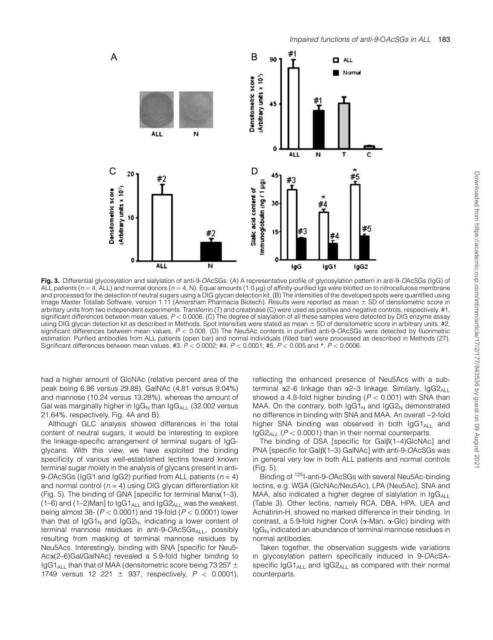

Fig. 3. Differential glycosylation and sialylation of anti-9-OAcSGs. (A) A representative profile of glycosylation pattern in anti-9-OAcSGs (IgG) of ALL patients ( $n = 4$ , ALL) and normal donors ( $n = 4$ , N). Equal amounts (1.0 µg) of affinity-purified Igs were blotted on to nitrocellulose membrane and processed for the detection of neutral sugars using a DIG glycan detection kit. (B) The intensities of the developed spots were quantified using Image Master Totallab Software, version 1.11 (Amersham Pharmacia Biotech). Results were reported as mean ± SD of densitometric score in arbritary units from two independent experiments. Transferrin (T) and creatinase (C) were used as positive and negative controls, respectively. #1, significant differences between mean values, P < 0.0006. (C) The degree of sialylation of all these samples were detected by DIG enzyme assay using DIG glycan detection kit as described in Methods. Spot intensities were stated as mean  $\pm$  SD of densitometric score in arbitrary units. #2, significant differences between mean values,  $P < 0.008$ . (D) The Neu5Ac contents in purified anti-9-OAcSGs were detected by fluorimetric estimation. Purified antibodies from ALL patients (open bar) and normal individuals (filled bar) were processed as described in Methods (27). Significant differences between mean values, #3,  $P < 0.0002$ ; #4,  $P < 0.0001$ ; #5,  $P < 0.005$  and  $*$ ,  $P < 0.0006$ .

had a higher amount of GIcNAc (relative percent area of the peak being 6.86 versus 29.88), GalNAc (4.81 versus 9.04%) and mannose (10.24 versus 13.28%), whereas the amount of Gal was marginally higher in  $\lg G_N$  than  $\lg G_{A\perp}$  (32.002 versus 21.64%, respectively, Fig. 4A and B).

Although GLC analysis showed differences in the total content of neutral sugars, it would be interesting to explore the linkage-specific arrangement of terminal sugars of IgGglycans. With this view, we have exploited the binding specificity of various well-established lectins toward known terminal sugar moiety in the analysis of glycans present in anti-9-OAcSGs (IgG1 and IgG2) purified from ALL patients ( $n = 4$ ) and normal control ( $n = 4$ ) using DIG glycan differentiation kit (Fig. 5). The binding of GNA [specific for terminal Mana(1–3), (1–6) and (1–2)Man] to  $\log G1_{A\Box}$  and  $\log G2_{A\Box}$  was the weakest, being almost 38- ( $P < 0.0001$ ) and 19-fold ( $P < 0.0001$ ) lower than that of IgG1<sub>N</sub> and IgG2<sub>N</sub>, indicating a lower content of terminal mannose residues in anti-9- $OACSGs_{A+1}$ , possibly resulting from masking of terminal mannose residues by Neu5Acs. Interestingly, binding with SNA [specific for Neu5- Aca(2–6)Gal/GalNAc] revealed a 5.9-fold higher binding to  $IqG1_{4L}$ , than that of MAA (densitometric score being 73 257  $\pm$ 1749 versus 12 221  $\pm$  937, respectively,  $P < 0.0001$ ), reflecting the enhanced presence of Neu5Acs with a subterminal  $\alpha$ 2–6 linkage than  $\alpha$ 2–3 linkage. Similarly, IgG2<sub>ALL</sub> showed a 4.8-fold higher binding ( $P < 0.001$ ) with SNA than MAA. On the contrary, both  $\log G1_{N}$  and  $\log G2_{N}$  demonstrated no difference in binding with SNA and MAA. An overall ~2-fold higher SNA binding was observed in both  $\log_1 A_{\text{H}}$  and  $IGG2_{A\perp}$  ( $P < 0.0001$ ) than in their normal counterparts.

The binding of DSA [specific for Gal $\beta$ (1–4)GlcNAc] and PNA [specific for Gal $\beta$ (1–3) GalNAc] with anti-9-OAcSGs was in general very low in both ALL patients and normal controls (Fig. 5).

Binding of <sup>125</sup>I-anti-9-OAcSGs with several Neu5Ac-binding lectins, e.g. WGA (GlcNAc/Neu5Ac), LPA (Neu5Ac), SNA and MAA, also indicated a higher degree of sialylation in  $\log G_{A\perp}$ (Table 3). Other lectins, namely RCA, DBA, HPA, UEA and Achatinin-H, showed no marked difference in their binding. In contrast, a 5.9-fold higher ConA (a-Man, a-Glc) binding with  $I<sub>g</sub>G<sub>N</sub>$  indicated an abundance of terminal mannose residues in normal antibodies.

Taken together, the observation suggests wide variations in glycosylation pattern specifically induced in 9-OAcSAspecific  $\log_1$ <sub>ALL</sub> and  $\log_2$ <sub>ALL</sub> as compared with their normal counterparts.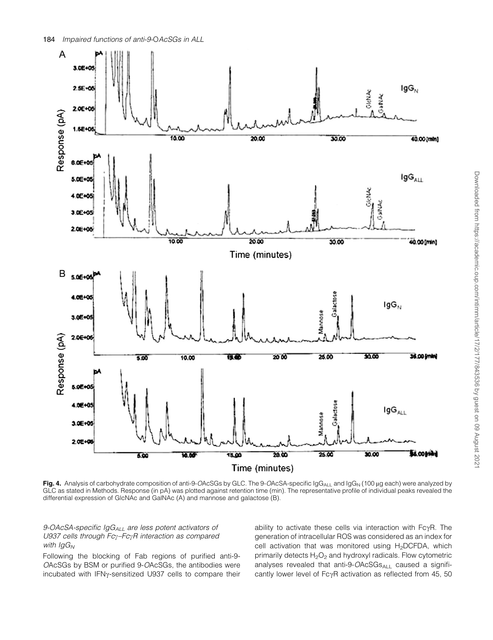

Fig. 4. Analysis of carbohydrate composition of anti-9-OAcSGs by GLC. The 9-OAcSA-specific  $\log_{ALL}$  and  $\log_{N}$  (100 µg each) were analyzed by GLC as stated in Methods. Response (in pA) was plotted against retention time (min). The representative profile of individual peaks revealed the differential expression of GlcNAc and GalNAc (A) and mannose and galactose (B).

9-OAcSA-specific IgG<sub>ALL</sub> are less potent activators of U937 cells through  $Fc<sub>V</sub>-Fc<sub>V</sub>R$  interaction as compared with  $\lg G_N$ 

Following the blocking of Fab regions of purified anti-9- OAcSGs by BSM or purified 9-OAcSGs, the antibodies were incubated with IFN<sub>Y</sub>-sensitized U937 cells to compare their ability to activate these cells via interaction with  $Fc\gamma R$ . The generation of intracellular ROS was considered as an index for cell activation that was monitored using H<sub>2</sub>DCFDA, which primarily detects  $H_2O_2$  and hydroxyl radicals. Flow cytometric analyses revealed that anti-9- $OACSGs_{ALL}$  caused a significantly lower level of Fc $\gamma$ R activation as reflected from 45, 50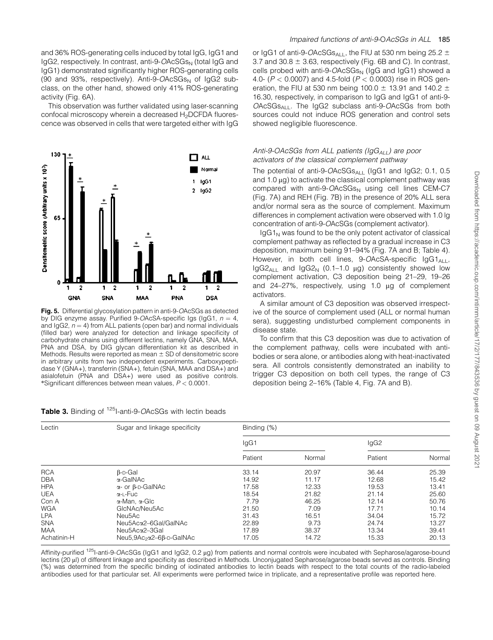Downloaded from https://academic.oup.com/intimm/article/17/2/177/843536 by guest on 09 August 202 Downloaded from https://academic.oup.com/intimm/article/17/2/177/843536 by guest on 09 August 2021

and 36% ROS-generating cells induced by total IgG, IgG1 and lgG2, respectively. In contrast, anti-9-OAcSGs<sub>N</sub> (total IgG and IgG1) demonstrated significantly higher ROS-generating cells (90 and 93%, respectively). Anti-9- $OACSGs_N$  of IgG2 subclass, on the other hand, showed only 41% ROS-generating activity (Fig. 6A).

This observation was further validated using laser-scanning confocal microscopy wherein a decreased H<sub>2</sub>DCFDA fluorescence was observed in cells that were targeted either with IgG



Fig. 5. Differential glycosylation pattern in anti-9-OAcSGs as detected by DIG enzyme assay. Purified 9-OAcSA-specific las ( $\log 1$ ,  $n = 4$ , and IgG2,  $n = 4$ ) from ALL patients (open bar) and normal individuals (filled bar) were analyzed for detection and linkage specificity of carbohydrate chains using different lectins, namely GNA, SNA, MAA, PNA and DSA, by DIG glycan differentiation kit as described in Methods. Results were reported as mean  $\pm$  SD of densitometric score in arbitrary units from two independent experiments. Carboxypeptidase Y (GNA+), transferrin (SNA+), fetuin (SNA, MAA and DSA+) and asialofetuin (PNA and DSA+) were used as positive controls. \*Significant differences between mean values,  $P < 0.0001$ .

| Table 3. Binding of <sup>125</sup> I-anti-9-OAcSGs with lectin beads |  |  |  |
|----------------------------------------------------------------------|--|--|--|
|----------------------------------------------------------------------|--|--|--|

or IgG1 of anti-9-OAcSGs<sub>ALL</sub>, the FIU at 530 nm being 25.2  $\pm$ 3.7 and 30.8  $\pm$  3.63, respectively (Fig. 6B and C). In contrast, cells probed with anti-9- $OACSGs_{N}$  ( $log_{10}$  and  $log_{10}$ ) showed a 4.0- ( $P < 0.0007$ ) and 4.5-fold ( $P < 0.0003$ ) rise in ROS generation, the FIU at 530 nm being 100.0  $\pm$  13.91 and 140.2  $\pm$ 16.30, respectively, in comparison to IgG and IgG1 of anti-9-  $OACSGs<sub>ALI</sub>$ . The IgG2 subclass anti-9- $OACSGs$  from both sources could not induce ROS generation and control sets showed negligible fluorescence.

### Anti-9-OAcSGs from ALL patients ( $\log_{A_U}$ ) are poor activators of the classical complement pathway

The potential of anti-9-OAcSGsALL (IgG1 and IgG2; 0.1, 0.5 and  $1.0 \mu g$ ) to activate the classical complement pathway was compared with anti-9- $OACSGs<sub>N</sub>$  using cell lines CEM-C7 (Fig. 7A) and REH (Fig. 7B) in the presence of 20% ALL sera and/or normal sera as the source of complement. Maximum differences in complement activation were observed with 1.0 lg concentration of anti-9-OAcSGs (complement activator).

 $I<sub>Q</sub>G1<sub>N</sub>$  was found to be the only potent activator of classical complement pathway as reflected by a gradual increase in C3 deposition, maximum being 91–94% (Fig. 7A and B; Table 4). However, in both cell lines,  $9$ -OAcSA-specific  $1gG1_{A\cup I}$ ,  $I<sub>g</sub>G2<sub>AII</sub>$  and  $I<sub>g</sub>G2<sub>N</sub>$  (0.1–1.0 µg) consistently showed low complement activation, C3 deposition being 21–29, 19–26 and  $24-27%$ , respectively, using 1.0  $\mu$ g of complement activators.

A similar amount of C3 deposition was observed irrespective of the source of complement used (ALL or normal human sera), suggesting undisturbed complement components in disease state.

To confirm that this C3 deposition was due to activation of the complement pathway, cells were incubated with antibodies or sera alone, or antibodies along with heat-inactivated sera. All controls consistently demonstrated an inability to trigger C3 deposition on both cell types, the range of C3 deposition being 2–16% (Table 4, Fig. 7A and B).

| Lectin      | Sugar and linkage specificity        | Binding (%) |        |         |        |  |
|-------------|--------------------------------------|-------------|--------|---------|--------|--|
|             |                                      | IgG1        |        | lgG2    |        |  |
|             |                                      | Patient     | Normal | Patient | Normal |  |
| <b>RCA</b>  | $\beta$ -D-Gal                       | 33.14       | 20.97  | 36.44   | 25.39  |  |
| <b>DBA</b>  | $\alpha$ -GalNAc                     | 14.92       | 11.17  | 12.68   | 15.42  |  |
| <b>HPA</b>  | $\alpha$ - or $\beta$ -D-GalNAc      | 17.58       | 12.33  | 19.53   | 13.41  |  |
| <b>UEA</b>  | α-L-Fuc                              | 18.54       | 21.82  | 21.14   | 25.60  |  |
| Con A       | α-Man, α-Glc                         | 7.79        | 46.25  | 12.14   | 50.76  |  |
| <b>WGA</b>  | GIcNAc/Neu5Ac                        | 21.50       | 7.09   | 17.71   | 10.14  |  |
| <b>LPA</b>  | Neu5Ac                               | 31.43       | 16.51  | 34.04   | 15.72  |  |
| <b>SNA</b>  | Neu5Acα2-6Gal/GalNAc                 | 22.89       | 9.73   | 24.74   | 13.27  |  |
| <b>MAA</b>  | Neu5Acα2-3Gal                        | 17.89       | 38.37  | 13.34   | 39.41  |  |
| Achatinin-H | Neu5,9Ac <sub>2</sub> α2-6β-D-GalNAc | 17.05       | 14.72  | 15.33   | 20.13  |  |

Affinity-purified <sup>125</sup>I-anti-9-OAcSGs (IgG1 and IgG2, 0.2 µg) from patients and normal controls were incubated with Sepharose/agarose-bound lectins (20 µl) of different linkage and specificity as described in Methods. Unconjugated Sepharose/agarose beads served as controls. Binding (%) was determined from the specific binding of iodinated antibodies to lectin beads with respect to the total counts of the radio-labeled antibodies used for that particular set. All experiments were performed twice in triplicate, and a representative profile was reported here.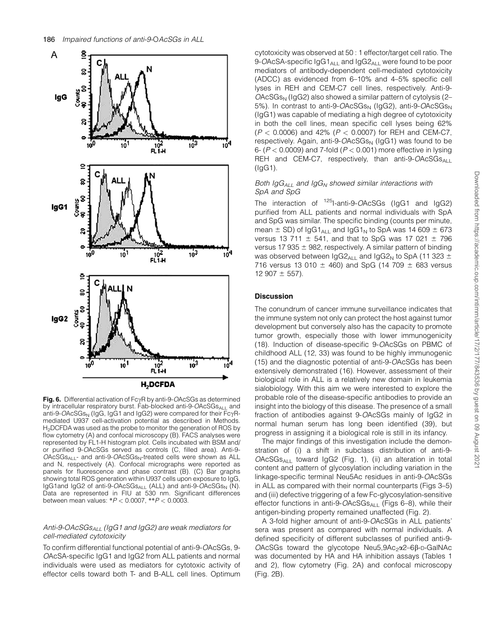

**Fig. 6.** Differential activation of FcyR by anti-9-OAcSGs as determined by intracellular respiratory burst. Fab-blocked anti-9-OAcSGsALL and anti-9-OAcSGs<sub>N</sub> (IgG, IgG1 and IgG2) were compared for their  $Fc\gamma R$ mediated U937 cell-activation potential as described in Methods. H<sub>2</sub>DCFDA was used as the probe to monitor the generation of ROS by flow cytometry (A) and confocal microscopy (B). FACS analyses were represented by FL1-H histogram plot. Cells incubated with BSM and/ or purified 9-OAcSGs served as controls (C, filled area). Anti-9-  $OACSGs_{ALL}$ - and anti-9- $OACSGs_N$ -treated cells were shown as ALL and N, respectively (A). Confocal micrographs were reported as panels for fluorescence and phase contrast (B). (C) Bar graphs showing total ROS generation within U937 cells upon exposure to IgG, IgG1and IgG2 of anti-9-OAcSGsALL (ALL) and anti-9-OAcSGs<sub>N</sub> (N). Data are represented in FIU at 530 nm. Significant differences between mean values:  $*P < 0.0007$ ,  $*P < 0.0003$ .

## Anti-9-OAcSGs $_{AlL}$  (IgG1 and IgG2) are weak mediators for cell-mediated cytotoxicity

To confirm differential functional potential of anti-9-OAcSGs, 9- OAcSA-specific IgG1 and IgG2 from ALL patients and normal individuals were used as mediators for cytotoxic activity of effector cells toward both T- and B-ALL cell lines. Optimum cytotoxicity was observed at 50 : 1 effector/target cell ratio. The 9-OAcSA-specific  $\log_{1.01}$  and  $\log_{2.01}$  were found to be poor mediators of antibody-dependent cell-mediated cytotoxicity (ADCC) as evidenced from 6–10% and 4–5% specific cell lyses in REH and CEM-C7 cell lines, respectively. Anti-9-  $OACSGs<sub>N</sub>$  (IgG2) also showed a similar pattern of cytolysis (2– 5%). In contrast to anti-9- $OACSGs_N$  (IgG2), anti-9- $OACSGs_N$ (IgG1) was capable of mediating a high degree of cytotoxicity in both the cell lines, mean specific cell lyses being 62%  $(P < 0.0006)$  and 42%  $(P < 0.0007)$  for REH and CEM-C7, respectively. Again, anti-9- $OACSGs<sub>N</sub>$  (IgG1) was found to be 6-  $(P < 0.0009)$  and 7-fold  $(P < 0.001)$  more effective in lysing REH and CEM-C7, respectively, than anti-9-OAcSGs $_{A\perp}$ (IgG1).

# Both  $\log G_{ALL}$  and  $\log G_N$  showed similar interactions with SpA and SpG

The interaction of <sup>125</sup>I-anti-9-OAcSGs (IgG1 and IgG2) purified from ALL patients and normal individuals with SpA and SpG was similar. The specific binding (counts per minute, mean  $\pm$  SD) of IgG1<sub>ALL</sub> and IgG1<sub>N</sub> to SpA was 14 609  $\pm$  673 versus 13 711  $\pm$  541, and that to SpG was 17 021  $\pm$  796 versus 17 935  $\pm$  982, respectively. A similar pattern of binding was observed between IgG2<sub>ALL</sub> and IgG2<sub>N</sub> to SpA (11 323  $\pm$ 716 versus 13 010  $\pm$  460) and SpG (14 709  $\pm$  683 versus  $12907 \pm 557$ ).

#### **Discussion**

The conundrum of cancer immune surveillance indicates that the immune system not only can protect the host against tumor development but conversely also has the capacity to promote tumor growth, especially those with lower immunogenicity (18). Induction of disease-specific 9-OAcSGs on PBMC of childhood ALL (12, 33) was found to be highly immunogenic (15) and the diagnostic potential of anti-9-OAcSGs has been extensively demonstrated (16). However, assessment of their biological role in ALL is a relatively new domain in leukemia sialobiology. With this aim we were interested to explore the probable role of the disease-specific antibodies to provide an insight into the biology of this disease. The presence of a small fraction of antibodies against 9-OAcSGs mainly of IgG2 in normal human serum has long been identified (39), but progress in assigning it a biological role is still in its infancy.

The major findings of this investigation include the demonstration of (i) a shift in subclass distribution of anti-9-  $OACSGs<sub>Al</sub>$  toward IgG2 (Fig. 1), (ii) an alteration in total content and pattern of glycosylation including variation in the linkage-specific terminal Neu5Ac residues in anti-9-OAcSGs in ALL as compared with their normal counterparts (Figs 3–5) and (iii) defective triggering of a few Fc-glycosylation-sensitive effector functions in anti-9- $OACSGs_{A+1}$  (Figs 6–8), while their antigen-binding property remained unaffected (Fig. 2).

A 3-fold higher amount of anti-9-OAcSGs in ALL patients' sera was present as compared with normal individuals. A defined specificity of different subclasses of purified anti-9-  $OACSGs$  toward the glycotope Neu5,9Ac<sub>2</sub> $\alpha$ 2–6 $\beta$ -D-GalNAc was documented by HA and HA inhibition assays (Tables 1 and 2), flow cytometry (Fig. 2A) and confocal microscopy (Fig. 2B).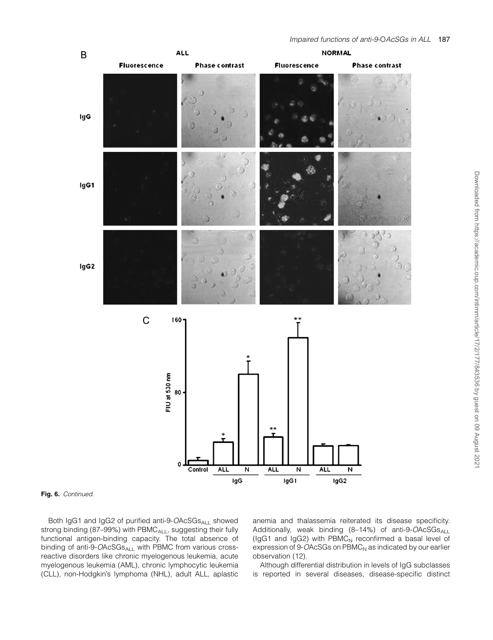

#### Fig. 6. Continued.

Both IgG1 and IgG2 of purified anti-9-OAcSGsALL showed strong binding (87-99%) with PBMC<sub>ALL</sub>, suggesting their fully functional antigen-binding capacity. The total absence of binding of anti-9- $OACSGs_{A\perp}$  with PBMC from various crossreactive disorders like chronic myelogenous leukemia, acute myelogenous leukemia (AML), chronic lymphocytic leukemia (CLL), non-Hodgkin's lymphoma (NHL), adult ALL, aplastic anemia and thalassemia reiterated its disease specificity. Additionally, weak binding (8-14%) of anti-9-OAcSGsALL (IgG1 and IgG2) with  $PBMC<sub>N</sub>$  reconfirmed a basal level of expression of  $9$ -OAcSGs on  $PBMC<sub>N</sub>$  as indicated by our earlier observation (12).

Although differential distribution in levels of IgG subclasses is reported in several diseases, disease-specific distinct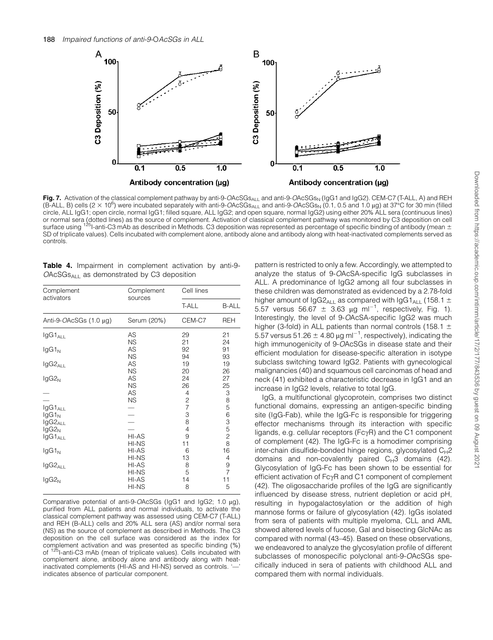

Fig. 7. Activation of the classical complement pathway by anti-9-OAcSGs<sub>ALL</sub> and anti-9-OAcSGs<sub>N</sub> (IgG1 and IgG2). CEM-C7 (T-ALL, A) and REH (B-ALL, B) cells (2  $\times$  10<sup>6</sup>) were incubated separately with anti-9-OAcSGs<sub>ALL</sub> and anti-9-OAcSGs<sub>N</sub> (0.1, 0.5 and 1.0 µg) at 37°C for 30 min (filled circle, ALL IgG1; open circle, normal IgG1; filled square, ALL IgG2; and open square, normal IgG2) using either 20% ALL sera (continuous lines) or normal sera (dotted lines) as the source of complement. Activation of classical complement pathway was monitored by C3 deposition on cell<br>surface using <sup>125</sup>l-anti-C3 mAb as described in Methods. C3 deposition was repre SD of triplicate values). Cells incubated with complement alone, antibody alone and antibody along with heat-inactivated complements served as controls.

|  | <b>Table 4.</b> Impairment in complement activation by anti-9- |  |  |
|--|----------------------------------------------------------------|--|--|
|  | $OACSGsAl1$ as demonstrated by C3 deposition                   |  |  |

| Complement                      | Complement      | Cell lines    |                |  |
|---------------------------------|-----------------|---------------|----------------|--|
| activators                      | sources         | <b>T-ALL</b>  | <b>B-ALL</b>   |  |
| Anti-9-OAcSGs (1.0 µg)          | Serum (20%)     | CEM-C7        | <b>REH</b>     |  |
| IgG1 <sub>ALL</sub>             | AS              | 29            | 21             |  |
|                                 | <b>NS</b>       | 21            | 24             |  |
| $lgG1_N$                        | AS              | 92            | 91             |  |
|                                 | <b>NS</b>       | 94            | 93             |  |
| $lgG2_{ALL}$                    | AS              | 19            | 19             |  |
|                                 | <b>NS</b>       | 20            | 26             |  |
| $lgG2_N$                        | AS              | 24            | 27             |  |
|                                 | <b>NS</b>       | 26            | 25             |  |
|                                 | AS<br><b>NS</b> | 4             | 3<br>8         |  |
| $lgG1_{ALL}$                    |                 | $\frac{2}{7}$ | 5              |  |
| $lgG1_N$                        |                 | 3             | 6              |  |
| IgG2 <sub>ALL</sub><br>$lgG2_N$ |                 | 8<br>4        | $\frac{3}{5}$  |  |
| $lgG1_{ALL}$                    | HI-AS<br>HI-NS  | 9<br>11       | $\frac{2}{8}$  |  |
| $lgG1_N$                        | HI-AS           | 6             | 16             |  |
|                                 | HI-NS           | 13            | 4              |  |
| $lgG2_{ALL}$                    | HI-AS           | 8             | 9              |  |
|                                 | HI-NS           | 5             | $\overline{7}$ |  |
| $lgG2_N$                        | HI-AS           | 14            | 11             |  |
|                                 | HI-NS           | 8             | 5              |  |

Comparative potential of anti-9-OAcSGs (IgG1 and IgG2; 1.0 ug), purified from ALL patients and normal individuals, to activate the classical complement pathway was assessed using CEM-C7 (T-ALL) and REH (B-ALL) cells and 20% ALL sera (AS) and/or normal sera (NS) as the source of complement as described in Methods. The C3 deposition on the cell surface was considered as the index for complement activation and was presented as specific binding (%) of <sup>125</sup>I-anti-C3 mAb (mean of triplicate values). Cells incubated with complement alone, antibody alone and antibody along with heatinactivated complements (HI-AS and HI-NS) served as controls. '—' indicates absence of particular component.

pattern is restricted to only a few. Accordingly, we attempted to analyze the status of 9-OAcSA-specific IgG subclasses in ALL. A predominance of IgG2 among all four subclasses in these children was demonstrated as evidenced by a 2.78-fold higher amount of IgG2<sub>ALL</sub> as compared with IgG1<sub>ALL</sub> (158.1  $\pm$ 5.57 versus 56.67  $\pm$  3.63 µg ml<sup>-1</sup>, respectively, Fig. 1). Interestingly, the level of 9-OAcSA-specific IgG2 was much higher (3-fold) in ALL patients than normal controls (158.1  $\pm$ 5.57 versus 51.26  $\pm$  4.80 µg ml<sup>-1</sup>, respectively), indicating the high immunogenicity of 9-OAcSGs in disease state and their efficient modulation for disease-specific alteration in isotype subclass switching toward IgG2. Patients with gynecological malignancies (40) and squamous cell carcinomas of head and neck (41) exhibited a characteristic decrease in IgG1 and an increase in IgG2 levels, relative to total IgG.

IgG, a multifunctional glycoprotein, comprises two distinct functional domains, expressing an antigen-specific binding site (IgG-Fab), while the IgG-Fc is responsible for triggering effector mechanisms through its interaction with specific ligands, e.g. cellular receptors ( $Fc\gamma R$ ) and the C1 component of complement (42). The IgG-Fc is a homodimer comprising inter-chain disulfide-bonded hinge regions, glycosylated  $C_H2$ domains and non-covalently paired  $C_H3$  domains (42). Glycosylation of IgG-Fc has been shown to be essential for efficient activation of  $Fc\gamma R$  and C1 component of complement (42). The oligosaccharide profiles of the IgG are significantly influenced by disease stress, nutrient depletion or acid pH, resulting in hypogalactosylation or the addition of high mannose forms or failure of glycosylation (42). IgGs isolated from sera of patients with multiple myeloma, CLL and AML showed altered levels of fucose, Gal and bisecting GlcNAc as compared with normal (43–45). Based on these observations, we endeavored to analyze the glycosylation profile of different subclasses of monospecific polyclonal anti-9-OAcSGs specifically induced in sera of patients with childhood ALL and compared them with normal individuals.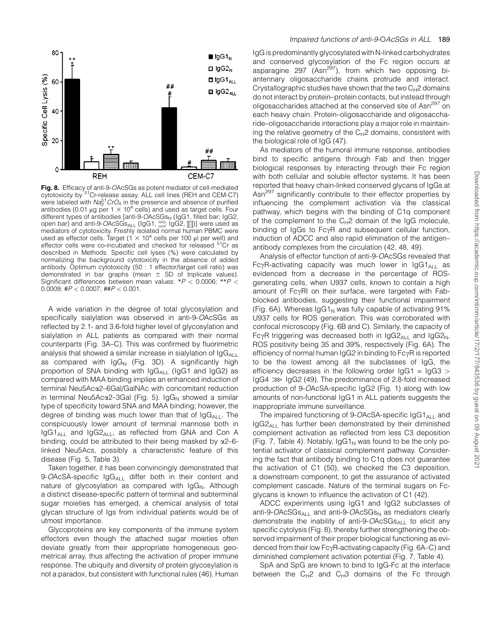

Fig. 8. Efficacy of anti-9-OAcSGs as potent mediator of cell-mediated cytotoxicity by <sup>51</sup>Cr-release assay. ALL cell lines (REH and CEM-C7) were labeled with  $Na<sub>2</sub><sup>51</sup>CrO<sub>4</sub>$  in the presence and absence of purified antibodies (0.01 µg per 1  $\times$  10<sup>4</sup> cells) and used as target cells. Four different types of antibodies [anti-9- $OACSGs<sub>N</sub>$  (IgG1, filled bar; IgG2, open bar) and anti-9-OAcSGs $_{A+1}$  (IgG1,  $\exists$ ; IgG2,  $\exists$ ) were used as mediators of cytotoxicity. Freshly isolated normal human PBMC were used as effector cells. Target ( $1 \times 10^4$  cells per 100 µl per well) and effector cells were co-incubated and checked for released <sup>51</sup>Cr as described in Methods. Specific cell lyses (%) were calculated by normalizing the background cytotoxicity in the absence of added antibody. Optimum cytotoxicity (50 : 1 effector/target cell ratio) was demonstrated in bar graphs (mean  $\pm$  SD of triplicate values). Significant differences between mean values:  $*P < 0.0006$ ;  $*P <$ 0.0009;  $\#P < 0.0007$ ;  $\#HP < 0.001$ .

A wide variation in the degree of total glycosylation and specifically sialylation was observed in anti-9-OAcSGs as reflected by 2.1- and 3.6-fold higher level of glycosylation and sialylation in ALL patients as compared with their normal counterparts (Fig. 3A–C). This was confirmed by fluorimetric analysis that showed a similar increase in sialylation of  $\log G_{A\cup I}$ as compared with  $\log_{N}$  (Fig. 3D). A significantly high proportion of SNA binding with IgGALL (IgG1 and IgG2) as compared with MAA binding implies an enhanced induction of terminal Neu5Aca2–6Gal/GalNAc with concomitant reduction in terminal Neu5Ac $\alpha$ 2-3Gal (Fig. 5). IgG<sub>N</sub> showed a similar type of specificity toward SNA and MAA binding; however, the degree of binding was much lower than that of  $\log G_{\text{All}}$ . The conspicuously lower amount of terminal mannose both in  $IqG1_{A\perp}$  and  $IqG2_{A\perp}$ , as reflected from GNA and Con A binding, could be attributed to their being masked by  $\alpha$ 2–6linked Neu5Acs, possibly a characteristic feature of this disease (Fig. 5, Table 3).

Taken together, it has been convincingly demonstrated that 9-OAcSA-specific IgG<sub>ALL</sub> differ both in their content and nature of glycosylation as compared with  $\log_{N}$ . Although a distinct disease-specific pattern of terminal and subterminal sugar moieties has emerged, a chemical analysis of total glycan structure of Igs from individual patients would be of utmost importance.

Glycoproteins are key components of the immune system effectors even though the attached sugar moieties often deviate greatly from their appropriate homogeneous geometrical array, thus affecting the activation of proper immune response. The ubiquity and diversity of protein glycosylation is not a paradox, but consistent with functional rules (46). Human IgG is predominantly glycosylated with N-linked carbohydrates and conserved glycosylation of the Fc region occurs at asparagine 297 (Asn<sup>297</sup>), from which two opposing biantennary oligosaccharide chains protrude and interact. Crystallographic studies have shown that the two  $C_{H2}$  domains do not interact by protein–protein contacts, but instead through oligosaccharides attached at the conserved site of Asn<sup>297</sup> on each heavy chain. Protein–oligosaccharide and oligosaccharide–oligosaccharide interactions play a major role in maintaining the relative geometry of the  $C_H2$  domains, consistent with the biological role of IgG (47).

As mediators of the humoral immune response, antibodies bind to specific antigens through Fab and then trigger biological responses by interacting through their Fc region with both cellular and soluble effector systems. It has been reported that heavy chain-linked conserved glycans of IgGs at Asn<sup>297</sup> significantly contribute to their effector properties by influencing the complement activation via the classical pathway, which begins with the binding of C1q component of the complement to the  $C_H2$  domain of the IgG molecule, binding of IgGs to  $Fc\gamma R$  and subsequent cellular function, induction of ADCC and also rapid elimination of the antigen– antibody complexes from the circulation (42, 48, 49).

Analysis of effector function of anti-9-OAcSGs revealed that Fc $\gamma$ R-activating capacity was much lower in  $I_{\text{Q}}G1_{\text{Al}}$  as evidenced from a decrease in the percentage of ROSgenerating cells, when U937 cells, known to contain a high amount of FcyRI on their surface, were targeted with Fabblocked antibodies, suggesting their functional impairment (Fig. 6A). Whereas  $\lg G1_N$  was fully capable of activating 91% U937 cells for ROS generation. This was corroborated with confocal microscopy (Fig. 6B and C). Similarly, the capacity of Fc $\gamma$ R triggering was decreased both in IgG2<sub>ALL</sub> and IgG2<sub>N</sub>, ROS positivity being 35 and 39%, respectively (Fig. 6A). The efficiency of normal human  $I_{Q}G2$  in binding to  $Fc\gamma R$  is reported to be the lowest among all the subclasses of IgG, the efficiency decreases in the following order  $IqG1 = IqG3$  $I<sub>g</sub>G4 \gg I<sub>g</sub>G2$  (49). The predominance of 2.8-fold increased production of 9-OAcSA-specific IgG2 (Fig. 1) along with low amounts of non-functional IgG1 in ALL patients suggests the inappropriate immune surveillance.

The impaired functioning of 9-OAcSA-specific  $\log_1 A_{\text{Al}}$  and  $I<sub>g</sub>G2<sub>ALI</sub>$  has further been demonstrated by their diminished complement activation as reflected from less C3 deposition (Fig. 7, Table 4). Notably,  $\log_1 N$  was found to be the only potential activator of classical complement pathway. Considering the fact that antibody binding to C1q does not guarantee the activation of C1 (50), we checked the C3 deposition, a downstream component, to get the assurance of activated complement cascade. Nature of the terminal sugars on Fcglycans is known to influence the activation of C1 (42).

ADCC experiments using IgG1 and IgG2 subclasses of anti-9-OAcS $Gs_{A\cup I}$  and anti-9-OAcS $Gs_{N}$  as mediators clearly demonstrate the inability of anti-9-OAcSGsALL to elicit any specific cytolysis (Fig. 8), thereby further strengthening the observed impairment of their proper biological functioning as evidenced from their low  $Fc\gamma R$ -activating capacity (Fig. 6A–C) and diminished complement activation potential (Fig. 7, Table 4).

SpA and SpG are known to bind to IgG-Fc at the interface between the  $C_{H2}$  and  $C_{H3}$  domains of the Fc through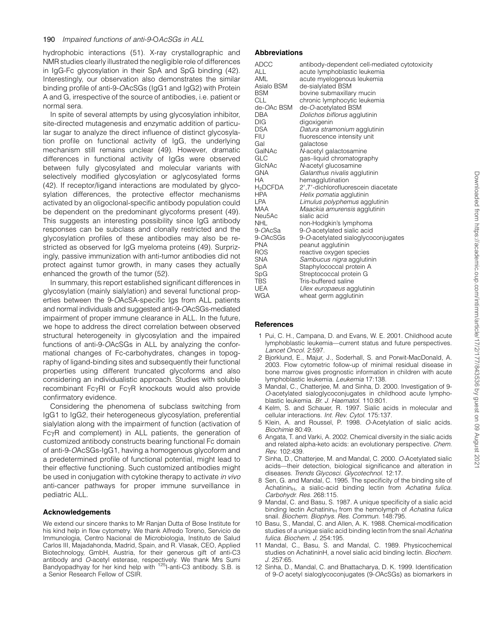hydrophobic interactions (51). X-ray crystallographic and NMR studies clearly illustrated the negligible role of differences in IgG-Fc glycosylation in their SpA and SpG binding (42). Interestingly, our observation also demonstrates the similar binding profile of anti-9-OAcSGs (IgG1 and IgG2) with Protein A and G, irrespective of the source of antibodies, i.e. patient or normal sera.

In spite of several attempts by using glycosylation inhibitor, site-directed mutagenesis and enzymatic addition of particular sugar to analyze the direct influence of distinct glycosylation profile on functional activity of IgG, the underlying mechanism still remains unclear (49). However, dramatic differences in functional activity of IgGs were observed between fully glycosylated and molecular variants with selectively modified glycosylation or aglycosylated forms (42). If receptor/ligand interactions are modulated by glycosylation differences, the protective effector mechanisms activated by an oligoclonal-specific antibody population could be dependent on the predominant glycoforms present (49). This suggests an interesting possibility since IgG antibody responses can be subclass and clonally restricted and the glycosylation profiles of these antibodies may also be restricted as observed for IgG myeloma proteins (49). Surprizingly, passive immunization with anti-tumor antibodies did not protect against tumor growth, in many cases they actually enhanced the growth of the tumor (52).

In summary, this report established significant differences in glycosylation (mainly sialylation) and several functional properties between the 9-OAcSA-specific Igs from ALL patients and normal individuals and suggested anti-9-OAcSGs-mediated impairment of proper immune clearance in ALL. In the future, we hope to address the direct correlation between observed structural heterogeneity in glycosylation and the impaired functions of anti-9-OAcSGs in ALL by analyzing the conformational changes of Fc-carbohydrates, changes in topography of ligand-binding sites and subsequently their functional properties using different truncated glycoforms and also considering an individualistic approach. Studies with soluble recombinant Fc $\gamma$ RI or Fc $\gamma$ R knockouts would also provide confirmatory evidence.

Considering the phenomena of subclass switching from IgG1 to IgG2, their heterogeneous glycosylation, preferential sialylation along with the impairment of function (activation of  $Fc<sub>Y</sub>R$  and complement) in ALL patients, the generation of customized antibody constructs bearing functional Fc domain of anti-9-OAcSGs-IgG1, having a homogenous glycoform and a predetermined profile of functional potential, might lead to their effective functioning. Such customized antibodies might be used in conjugation with cytokine therapy to activate in vivo anti-cancer pathways for proper immune surveillance in pediatric ALL.

## Acknowledgements

We extend our sincere thanks to Mr Ranjan Dutta of Bose Institute for his kind help in flow cytometry. We thank Alfredo Toreno, Servicio de Immunologia, Centro Nacional de Microbiologia, Instituto de Salud Carlos III, Majadahonda, Madrid, Spain, and R. Vlasak, CEO, Applied Biotechnology, GmbH, Austria, for their generous gift of anti-C3 antibody and *O*-acetyl esterase, respectively. We thank Mrs Sumi<br>Bandyopadhyay for her kind help with <sup>125</sup>I-anti-C3 antibody. S.B. is a Senior Research Fellow of CSIR.

## Abbreviations

| <b>ADCC</b><br>ALL | antibody-dependent cell-mediated cytotoxicity<br>acute lymphoblastic leukemia |
|--------------------|-------------------------------------------------------------------------------|
| AML                | acute myelogenous leukemia                                                    |
| Asialo BSM         | de-sialylated BSM                                                             |
| <b>BSM</b>         | bovine submaxillary mucin                                                     |
| <b>CLL</b>         | chronic lymphocytic leukemia                                                  |
| de-OAc BSM         | de-O-acetylated BSM                                                           |
| <b>DBA</b>         | Dolichos biflorus agglutinin                                                  |
| DIG                | digoxigenin                                                                   |
| <b>DSA</b>         | Datura stramonium agglutinin                                                  |
| <b>FIU</b>         | fluorescence intensity unit                                                   |
| Gal                | galactose                                                                     |
| GalNAc             | N-acetyl galactosamine                                                        |
| GLC                | gas-liquid chromatography                                                     |
| GIcNAc             | N-acetyl glucosamine                                                          |
| <b>GNA</b>         | Galanthus nivalis agglutinin                                                  |
| HA.                | hemagglutination                                                              |
| $H_2$ DCFDA        | 2',7'-dichlorofluorescein diacetate                                           |
| <b>HPA</b>         | Helix pomatia agglutinin                                                      |
| <b>LPA</b>         | Limulus polyphemus agglutinin                                                 |
| MAA                | Maackia amurensis agglutinin                                                  |
| Neu5Ac             | sialic acid                                                                   |
| NHL                | non-Hodgkin's lymphoma                                                        |
| 9- <i>OAcSa</i>    | 9-O-acetylated sialic acid                                                    |
| 9- <i>OAcSGs</i>   | 9-O-acetylated sialoglycoconjugates                                           |
| <b>PNA</b>         | peanut agglutinin                                                             |
| <b>ROS</b>         | reactive oxygen species                                                       |
| <b>SNA</b>         | Sambucus nigra agglutinin                                                     |
| SpA                | Staphylococcal protein A                                                      |
| SpG                | Streptococcal protein G                                                       |
| <b>TBS</b>         | Tris-buffered saline                                                          |
| UEA                | Ulex europaeus agglutinin                                                     |
| <b>WGA</b>         | wheat germ agglutinin                                                         |

# **References**

- 1 Pui, C. H., Campana, D. and Evans, W. E. 2001. Childhood acute lymphoblastic leukemia—current status and future perspectives. Lancet Oncol. 2:597.
- 2 Bjorklund, E., Majur, J., Soderhall, S. and Porwit-MacDonald, A. 2003. Flow cytometric follow-up of minimal residual disease in bone marrow gives prognostic information in children with acute lymphoblastic leukemia. Leukemia 17:138.
- 3 Mandal, C., Chatterjee, M. and Sinha, D. 2000. Investigation of 9- O-acetylated sialoglycoconjugates in childhood acute lymphoblastic leukemia. Br. J. Haematol. 110:801.
- 4 Kelm, S. and Schauer, R. 1997. Sialic acids in molecular and cellular interactions. Int. Rev. Cytol. 175:137.
- 5 Klein, A. and Roussel, P. 1998. O-Acetylation of sialic acids. Biochimie 80:49.
- 6 Angata, T. and Varki, A. 2002. Chemical diversity in the sialic acids and related alpha-keto acids: an evolutionary perspective. Chem. Rev. 102:439.
- 7 Sinha, D., Chatterjee, M. and Mandal, C. 2000. O-Acetylated sialic acids—their detection, biological significance and alteration in diseases. Trends Glycosci. Glycotechnol. 12:17.
- 8 Sen, G. and Mandal, C. 1995. The specificity of the binding site of  $A$ chatinin<sub>H</sub>, a sialic-acid binding lectin from Achatina fulica. Carbohydr. Res. 268:115.
- 9 Mandal, C. and Basu, S. 1987. A unique specificity of a sialic acid binding lectin Achatinin $H$  from the hemolymph of Achatina fulica snail. Biochem. Biophys. Res. Commun. 148:795.
- 10 Basu, S., Mandal, C. and Allen, A. K. 1988. Chemical-modification studies of a unique sialic acid binding lectin from the snail Achatina fulica. Biochem. J. 254:195.
- 11 Mandal, C., Basu, S. and Mandal, C. 1989. Physicochemical studies on AchatininH, a novel sialic acid binding lectin. Biochem. J. 257:65.
- 12 Sinha, D., Mandal, C. and Bhattacharya, D. K. 1999. Identification of 9-O acetyl sialoglycoconjugates (9-OAcSGs) as biomarkers in